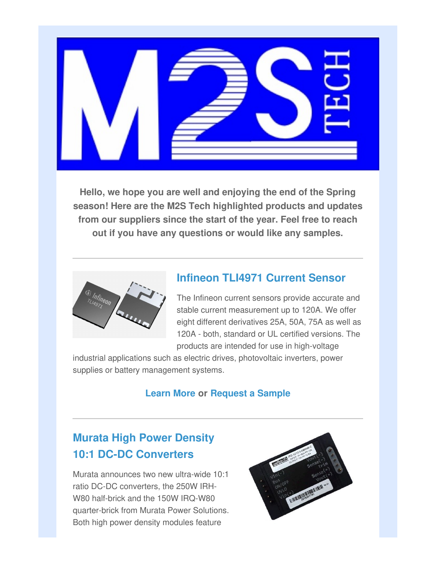

**Hello, we hope you are well and enjoying the end of the Spring season! Here are the M2S Tech highlighted products and updates from our suppliers since the start of the year. Feel free to reach out if you have any questions or would like any samples.**



## **Infineon TLI4971 Current Sensor**

The Infineon current sensors provide accurate and stable current measurement up to 120A. We offer eight different derivatives 25A, 50A, 75A as well as 120A - both, standard or UL certified versions. The products are intended for use in high-voltage

industrial applications such as electric drives, photovoltaic inverters, power supplies or battery management systems.

### **Learn More or Request a Sample**

# **Murata High Power Density 10:1 DC-DC Converters**

Murata announces two new ultra-wide 10:1 ratio DC-DC converters, the 250W IRH-W80 half-brick and the 150W IRQ-W80 quarter-brick from Murata Power Solutions. Both high power density modules feature

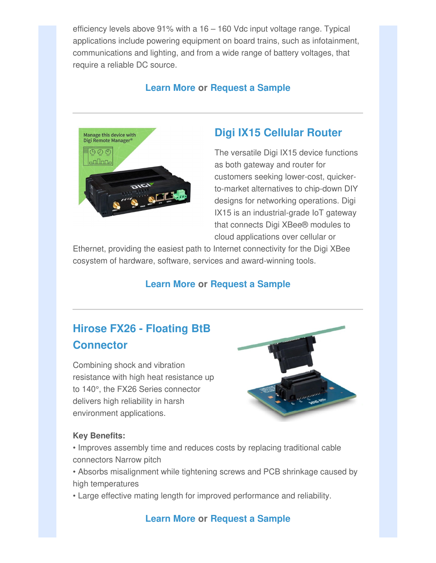efficiency levels above 91% with a 16 – 160 Vdc input voltage range. Typical applications include powering equipment on board trains, such as infotainment, communications and lighting, and from a wide range of battery voltages, that require a reliable DC source.

### **Learn More or Request a Sample**



## **Digi IX15 Cellular Router**

The versatile Digi IX15 device functions as both gateway and router for customers seeking lower-cost, quickerto-market alternatives to chip-down DIY designs for networking operations. Digi IX15 is an industrial-grade IoT gateway that connects Digi XBee® modules to cloud applications over cellular or

Ethernet, providing the easiest path to Internet connectivity for the Digi XBee cosystem of hardware, software, services and award-winning tools.

#### **Learn More or Request a Sample**

# **Hirose FX26 - Floating BtB Connector**

Combining shock and vibration resistance with high heat resistance up to 140°, the FX26 Series connector delivers high reliability in harsh environment applications.



#### **Key Benefits:**

- Improves assembly time and reduces costs by replacing traditional cable connectors Narrow pitch
- Absorbs misalignment while tightening screws and PCB shrinkage caused by high temperatures
- Large effective mating length for improved performance and reliability.

#### **Learn More or Request a Sample**